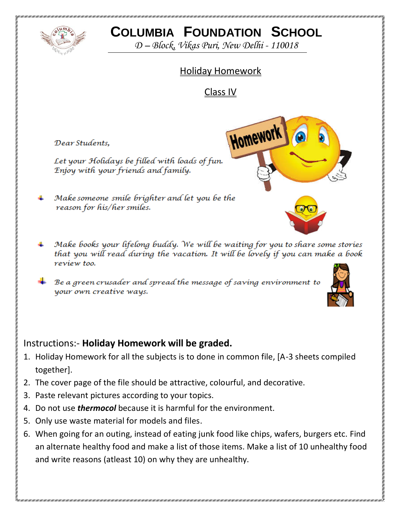

# **COLUMBIA FOUNDATION SCHOOL**

*D – Block, Vikas Puri, New Delhi - 110018*

# Holiday Homework

Class IV

Homework

Dear Students,

Let your Holidays be filled with loads of fun. Enjoy with your friends and family.

Make someone smile brighter and let you be the reason for his/her smiles.

- Make books your lifelong buddy. We will be waiting for you to share some stories that you will read during the vacation. It will be lovely if you can make a book revíew too.
- Be a green crusader and spread the message of saving environment to your own creative ways.



### Instructions:- **Holiday Homework will be graded.**

- 1. Holiday Homework for all the subjects is to done in common file, [A-3 sheets compiled together].
- 2. The cover page of the file should be attractive, colourful, and decorative.
- 3. Paste relevant pictures according to your topics.
- 4. Do not use *thermocol* because it is harmful for the environment.
- 5. Only use waste material for models and files.
- 6. When going for an outing, instead of eating junk food like chips, wafers, burgers etc. Find an alternate healthy food and make a list of those items. Make a list of 10 unhealthy food and write reasons (atleast 10) on why they are unhealthy.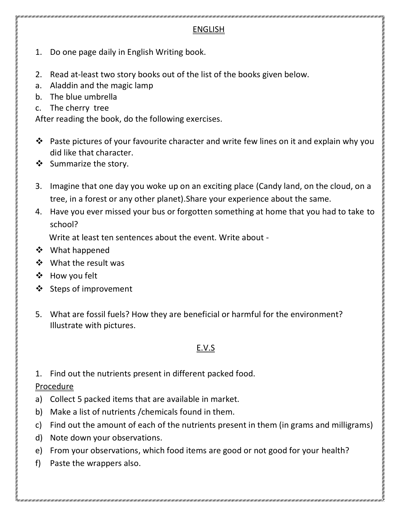#### ENGLISH

- 1. Do one page daily in English Writing book.
- 2. Read at-least two story books out of the list of the books given below.
- a. Aladdin and the magic lamp
- b. The blue umbrella
- c. The cherry tree

After reading the book, do the following exercises.

- \* Paste pictures of your favourite character and write few lines on it and explain why you did like that character.
- ❖ Summarize the story.
- 3. Imagine that one day you woke up on an exciting place (Candy land, on the cloud, on a tree, in a forest or any other planet).Share your experience about the same.
- 4. Have you ever missed your bus or forgotten something at home that you had to take to school?

Write at least ten sentences about the event. Write about -

- ❖ What happened
- What the result was
- How you felt
- ❖ Steps of improvement
- 5. What are fossil fuels? How they are beneficial or harmful for the environment? Illustrate with pictures.

# E.V.S

1. Find out the nutrients present in different packed food.

# **Procedure**

- a) Collect 5 packed items that are available in market.
- b) Make a list of nutrients /chemicals found in them.
- c) Find out the amount of each of the nutrients present in them (in grams and milligrams)
- d) Note down your observations.
- e) From your observations, which food items are good or not good for your health?

f) Paste the wrappers also.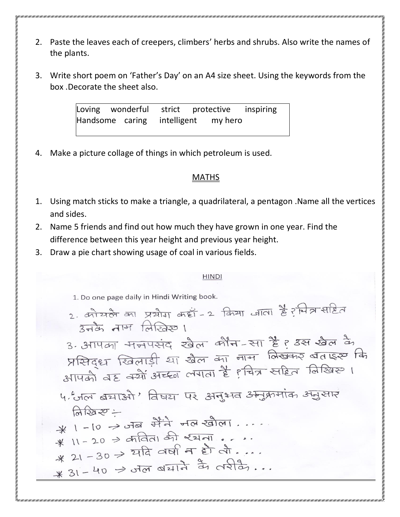- 2. Paste the leaves each of creepers, climbers' herbs and shrubs. Also write the names of the plants.
- 3. Write short poem on 'Father's Day' on an A4 size sheet. Using the keywords from the box .Decorate the sheet also.

Loving wonderful strict protective inspiring Handsome caring intelligent my hero

4. Make a picture collage of things in which petroleum is used.

#### **MATHS**

- 1. Using match sticks to make a triangle, a quadrilateral, a pentagon .Name all the vertices and sides.
- 2. Name 5 friends and find out how much they have grown in one year. Find the difference between this year height and previous year height.
- 3. Draw a pie chart showing usage of coal in various fields.

#### **HINDI**

1. Do one page daily in Hindi Writing book.

2. कोयले का प्रयोग कहा-2 किया जाता है? मित्र सहित  $372$   $\frac{1}{2}$   $\frac{1}{2}$   $\frac{1}{2}$   $\frac{1}{2}$   $\frac{1}{2}$   $\frac{1}{2}$   $\frac{1}{2}$   $\frac{1}{2}$   $\frac{1}{2}$   $\frac{1}{2}$   $\frac{1}{2}$   $\frac{1}{2}$   $\frac{1}{2}$   $\frac{1}{2}$   $\frac{1}{2}$   $\frac{1}{2}$   $\frac{1}{2}$   $\frac{1}{2}$   $\frac{1}{2}$   $\frac{1}{2}$   $\frac{1}{2}$   $\frac{1$ 

3. आपका मनपसंद खेल कौन-सा है? उस खेल के प्रसिद्ध खिलाड़ी या खेल का नाम विखकर बताइस कि अभिवृध खिलाड़ा था खल जा गा।<br>अपिको वह क्यों अच्छा लगता है हवित्र सहित विखिए ।

५. जल बचाओं ' विषय पर अनुभव अनुक्रमांक अनुसार  $\bigcap_{x\in\mathbb{R}}\bigcap_{x\in\mathbb{R}}Z^x$ 

 $*$   $1 - 10 \rightarrow$  otal that was realized....  $* 1 - 20 \rightarrow \text{ar-} \Rightarrow \text{ar} \times 1 - \text{ar}$  $* 11 - 20 = 212$ <br> $* 21 - 30 \rightarrow 212 = 121$  $*$  21-30 - 414 - 1414 77 0213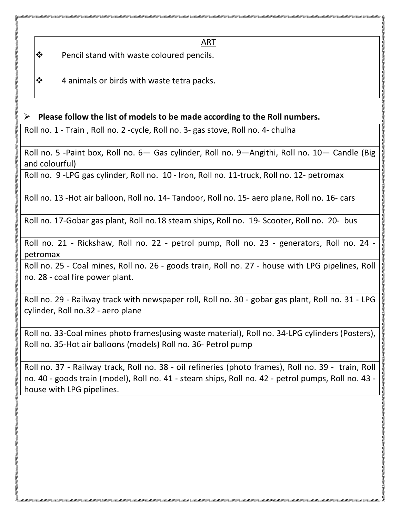ART

 $\mathbf{\hat{P}}$  Pencil stand with waste coloured pencils.

 $\mathbf{\hat{P}}$  4 animals or birds with waste tetra packs.

#### **Please follow the list of models to be made according to the Roll numbers.**

Roll no. 1 - Train , Roll no. 2 -cycle, Roll no. 3- gas stove, Roll no. 4- chulha

Roll no. 5 -Paint box, Roll no. 6— Gas cylinder, Roll no. 9—Angithi, Roll no. 10— Candle (Big and colourful)

Roll no. 9 -LPG gas cylinder, Roll no. 10 - Iron, Roll no. 11-truck, Roll no. 12- petromax

Roll no. 13 -Hot air balloon, Roll no. 14- Tandoor, Roll no. 15- aero plane, Roll no. 16- cars

Roll no. 17-Gobar gas plant, Roll no.18 steam ships, Roll no. 19- Scooter, Roll no. 20- bus

Roll no. 21 - Rickshaw, Roll no. 22 - petrol pump, Roll no. 23 - generators, Roll no. 24 petromax

Roll no. 25 - Coal mines, Roll no. 26 - goods train, Roll no. 27 - house with LPG pipelines, Roll no. 28 - coal fire power plant.

Roll no. 29 - Railway track with newspaper roll, Roll no. 30 - gobar gas plant, Roll no. 31 - LPG cylinder, Roll no.32 - aero plane

Roll no. 33-Coal mines photo frames(using waste material), Roll no. 34-LPG cylinders (Posters), Roll no. 35-Hot air balloons (models) Roll no. 36- Petrol pump

Roll no. 37 - Railway track, Roll no. 38 - oil refineries (photo frames), Roll no. 39 - train, Roll no. 40 - goods train (model), Roll no. 41 - steam ships, Roll no. 42 - petrol pumps, Roll no. 43 house with LPG pipelines.